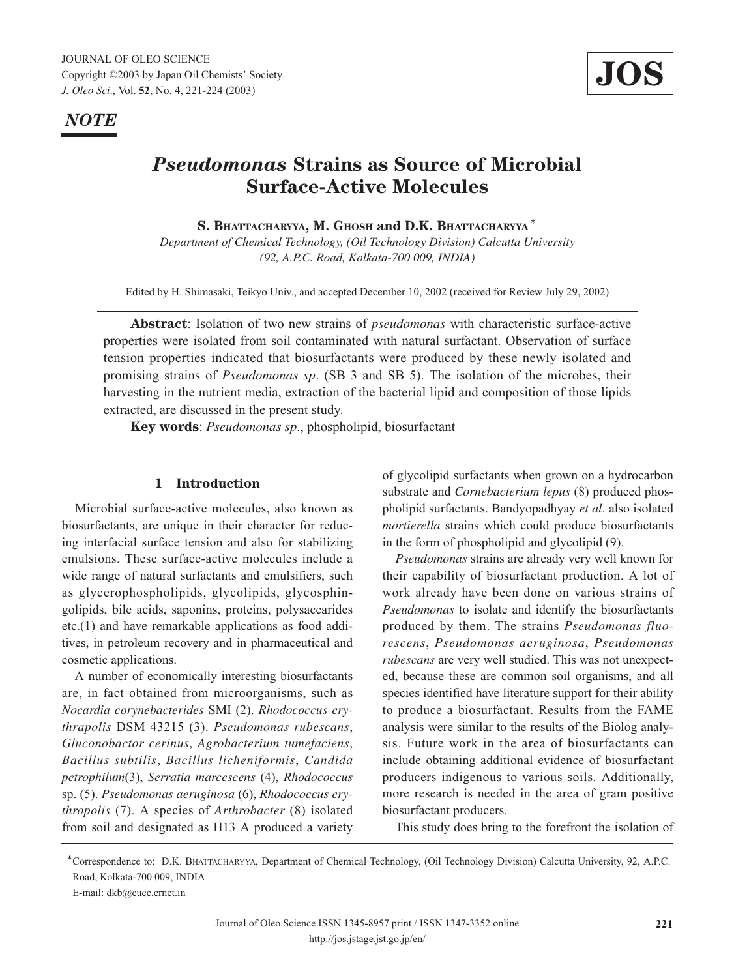*NOTE*



# *Pseudomonas* **Strains as Source of Microbial Surface-Active Molecules**

**S. BHATTACHARYYA, M. GHOSH and D.K. BHATTACHARYYA**\*

*Department of Chemical Technology, (Oil Technology Division) Calcutta University (92, A.P.C. Road, Kolkata-700 009, INDIA)*

Edited by H. Shimasaki, Teikyo Univ., and accepted December 10, 2002 (received for Review July 29, 2002)

**Abstract**: Isolation of two new strains of *pseudomonas* with characteristic surface-active properties were isolated from soil contaminated with natural surfactant. Observation of surface tension properties indicated that biosurfactants were produced by these newly isolated and promising strains of *Pseudomonas sp*. (SB 3 and SB 5). The isolation of the microbes, their harvesting in the nutrient media, extraction of the bacterial lipid and composition of those lipids extracted, are discussed in the present study.

**Key words**: *Pseudomonas sp*., phospholipid, biosurfactant

#### **1 Introduction**

Microbial surface-active molecules, also known as biosurfactants, are unique in their character for reducing interfacial surface tension and also for stabilizing emulsions. These surface-active molecules include a wide range of natural surfactants and emulsifiers, such as glycerophospholipids, glycolipids, glycosphingolipids, bile acids, saponins, proteins, polysaccarides etc.(1) and have remarkable applications as food additives, in petroleum recovery and in pharmaceutical and cosmetic applications.

A number of economically interesting biosurfactants are, in fact obtained from microorganisms, such as *Nocardia corynebacterides* SMI (2). *Rhodococcus erythrapolis* DSM 43215 (3). *Pseudomonas rubescans*, *Gluconobactor cerinus*, *Agrobacterium tumefaciens*, *Bacillus subtilis*, *Bacillus licheniformis*, *Candida petrophilum*(3), *Serratia marcescens* (4), *Rhodococcus* sp. (5). *Pseudomonas aeruginosa* (6), *Rhodococcus erythropolis* (7). A species of *Arthrobacter* (8) isolated from soil and designated as H13 A produced a variety of glycolipid surfactants when grown on a hydrocarbon substrate and *Cornebacterium lepus* (8) produced phospholipid surfactants. Bandyopadhyay *et al*. also isolated *mortierella* strains which could produce biosurfactants in the form of phospholipid and glycolipid (9).

*Pseudomonas* strains are already very well known for their capability of biosurfactant production. A lot of work already have been done on various strains of *Pseudomonas* to isolate and identify the biosurfactants produced by them. The strains *Pseudomonas fluorescens*, *Pseudomonas aeruginosa*, *Pseudomonas rubescans* are very well studied. This was not unexpected, because these are common soil organisms, and all species identified have literature support for their ability to produce a biosurfactant. Results from the FAME analysis were similar to the results of the Biolog analysis. Future work in the area of biosurfactants can include obtaining additional evidence of biosurfactant producers indigenous to various soils. Additionally, more research is needed in the area of gram positive biosurfactant producers.

This study does bring to the forefront the isolation of

<sup>\*</sup>Correspondence to: D.K. BHATTACHARYYA, Department of Chemical Technology, (Oil Technology Division) Calcutta University, 92, A.P.C. Road, Kolkata-700 009, INDIA

E-mail: dkb@cucc.ernet.in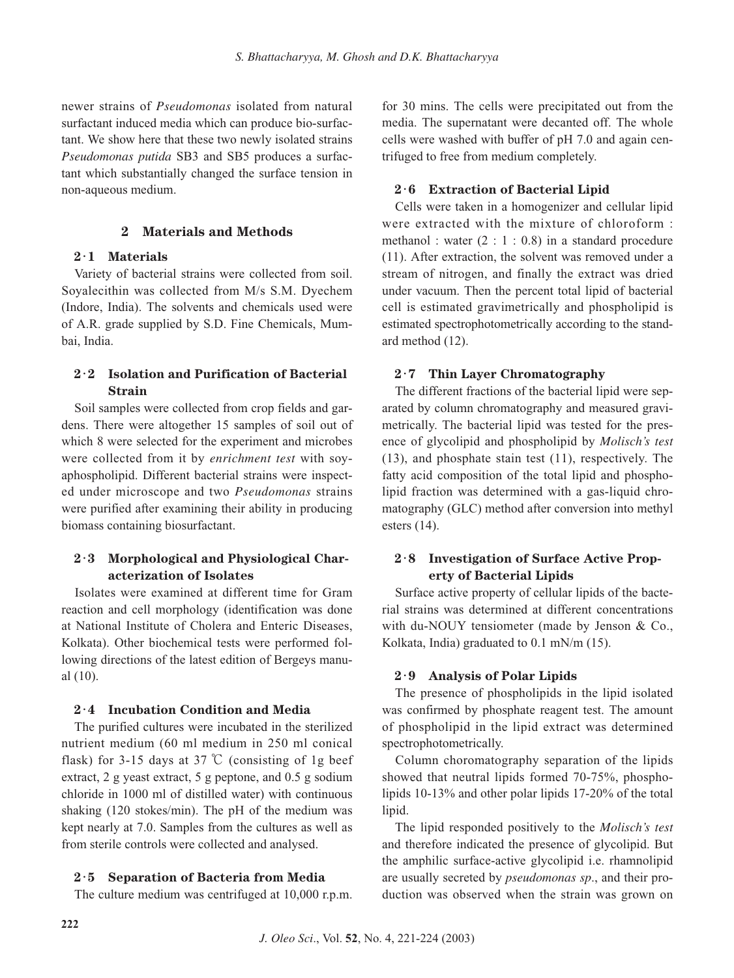newer strains of *Pseudomonas* isolated from natural surfactant induced media which can produce bio-surfactant. We show here that these two newly isolated strains *Pseudomonas putida* SB3 and SB5 produces a surfactant which substantially changed the surface tension in non-aqueous medium.

# **2 Materials and Methods**

## **2**・**1 Materials**

Variety of bacterial strains were collected from soil. Soyalecithin was collected from M/s S.M. Dyechem (Indore, India). The solvents and chemicals used were of A.R. grade supplied by S.D. Fine Chemicals, Mumbai, India.

# **2**・**2 Isolation and Purification of Bacterial Strain**

Soil samples were collected from crop fields and gardens. There were altogether 15 samples of soil out of which 8 were selected for the experiment and microbes were collected from it by *enrichment test* with soyaphospholipid. Different bacterial strains were inspected under microscope and two *Pseudomonas* strains were purified after examining their ability in producing biomass containing biosurfactant.

# **2**・**3 Morphological and Physiological Characterization of Isolates**

Isolates were examined at different time for Gram reaction and cell morphology (identification was done at National Institute of Cholera and Enteric Diseases, Kolkata). Other biochemical tests were performed following directions of the latest edition of Bergeys manual (10).

## **2**・**4 Incubation Condition and Media**

The purified cultures were incubated in the sterilized nutrient medium (60 ml medium in 250 ml conical flask) for 3-15 days at 37  $\mathbb{C}$  (consisting of 1g beef extract, 2 g yeast extract, 5 g peptone, and 0.5 g sodium chloride in 1000 ml of distilled water) with continuous shaking (120 stokes/min). The pH of the medium was kept nearly at 7.0. Samples from the cultures as well as from sterile controls were collected and analysed.

## **2**・**5 Separation of Bacteria from Media**

The culture medium was centrifuged at 10,000 r.p.m.

for 30 mins. The cells were precipitated out from the media. The supernatant were decanted off. The whole cells were washed with buffer of pH 7.0 and again centrifuged to free from medium completely.

# **2**・**6 Extraction of Bacterial Lipid**

Cells were taken in a homogenizer and cellular lipid were extracted with the mixture of chloroform : methanol : water  $(2 : 1 : 0.8)$  in a standard procedure (11). After extraction, the solvent was removed under a stream of nitrogen, and finally the extract was dried under vacuum. Then the percent total lipid of bacterial cell is estimated gravimetrically and phospholipid is estimated spectrophotometrically according to the standard method (12).

# **2**・**7 Thin Layer Chromatography**

The different fractions of the bacterial lipid were separated by column chromatography and measured gravimetrically. The bacterial lipid was tested for the presence of glycolipid and phospholipid by *Molisch's test* (13), and phosphate stain test (11), respectively. The fatty acid composition of the total lipid and phospholipid fraction was determined with a gas-liquid chromatography (GLC) method after conversion into methyl esters (14).

# **2**・**8 Investigation of Surface Active Property of Bacterial Lipids**

Surface active property of cellular lipids of the bacterial strains was determined at different concentrations with du-NOUY tensiometer (made by Jenson & Co., Kolkata, India) graduated to 0.1 mN/m (15).

## **2**・**9 Analysis of Polar Lipids**

The presence of phospholipids in the lipid isolated was confirmed by phosphate reagent test. The amount of phospholipid in the lipid extract was determined spectrophotometrically.

Column choromatography separation of the lipids showed that neutral lipids formed 70-75%, phospholipids 10-13% and other polar lipids 17-20% of the total lipid.

The lipid responded positively to the *Molisch's test* and therefore indicated the presence of glycolipid. But the amphilic surface-active glycolipid i.e. rhamnolipid are usually secreted by *pseudomonas sp*., and their production was observed when the strain was grown on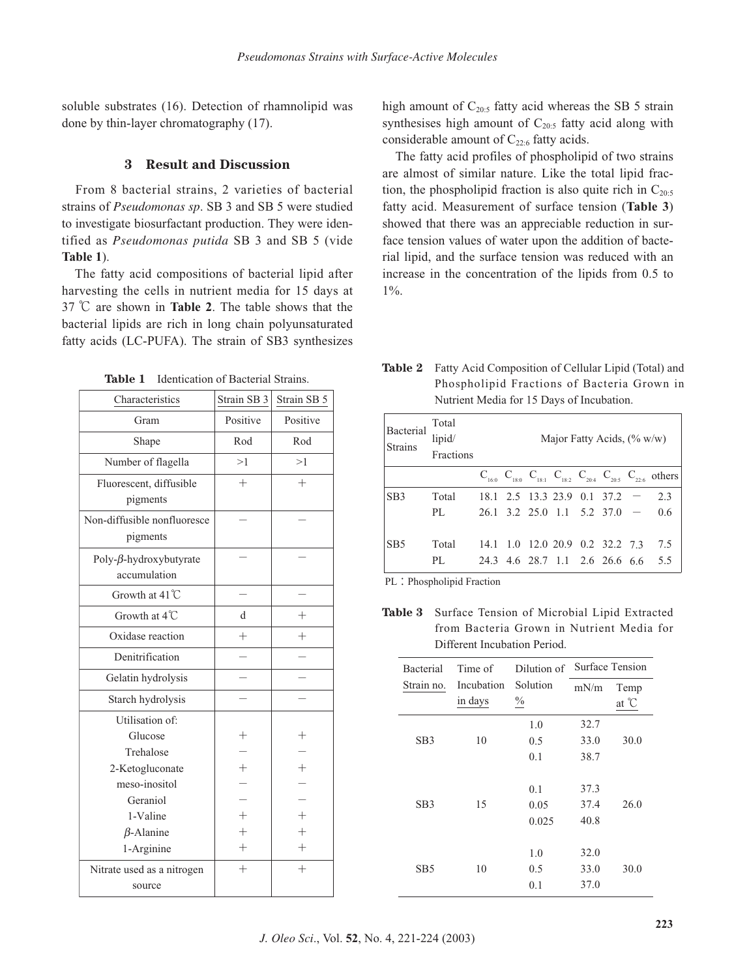soluble substrates (16). Detection of rhamnolipid was done by thin-layer chromatography (17).

#### **3 Result and Discussion**

From 8 bacterial strains, 2 varieties of bacterial strains of *Pseudomonas sp*. SB 3 and SB 5 were studied to investigate biosurfactant production. They were identified as *Pseudomonas putida* SB 3 and SB 5 (vide **Table 1**).

The fatty acid compositions of bacterial lipid after harvesting the cells in nutrient media for 15 days at 37 ℃ are shown in **Table 2**. The table shows that the bacterial lipids are rich in long chain polyunsaturated fatty acids (LC-PUFA). The strain of SB3 synthesizes

**Table 1** Identication of Bacterial Strains.

| Characteristics                                | Strain SB 3        | Strain SB 5        |
|------------------------------------------------|--------------------|--------------------|
| Gram                                           | Positive           | Positive           |
| Shape                                          | Rod                | Rod                |
| Number of flagella                             | >1                 | >1                 |
| Fluorescent, diffusible<br>pigments            | $^{+}$             | $^{+}$             |
| Non-diffusible nonfluoresce<br>pigments        |                    |                    |
| Poly- $\beta$ -hydroxybutyrate<br>accumulation |                    |                    |
| Growth at $41^{\circ}$ C                       |                    |                    |
| Growth at 4°C                                  | d                  | $\!+\!$            |
| Oxidase reaction                               | $^{+}$             | $^+$               |
| Denitrification                                |                    |                    |
| Gelatin hydrolysis                             |                    |                    |
| Starch hydrolysis                              |                    |                    |
| Utilisation of:<br>Glucose                     | $^+$               | $^+$               |
| Trehalose                                      |                    |                    |
| 2-Ketogluconate                                | $^{+}$             | $^{+}$             |
| meso-inositol                                  |                    |                    |
| Geraniol                                       |                    |                    |
| 1-Valine                                       | $^+$               | $^{+}$             |
| $\beta$ -Alanine                               | $^+$               | $^{+}$             |
| 1-Arginine                                     | $\hspace{0.1mm} +$ | $\hspace{0.1mm} +$ |
| Nitrate used as a nitrogen<br>source           | $^{+}$             | $^{+}$             |

high amount of  $C_{20:5}$  fatty acid whereas the SB 5 strain synthesises high amount of  $C_{20:5}$  fatty acid along with considerable amount of  $C_{22:6}$  fatty acids.

The fatty acid profiles of phospholipid of two strains are almost of similar nature. Like the total lipid fraction, the phospholipid fraction is also quite rich in  $C_{20:5}$ fatty acid. Measurement of surface tension (**Table 3**) showed that there was an appreciable reduction in surface tension values of water upon the addition of bacterial lipid, and the surface tension was reduced with an increase in the concentration of the lipids from 0.5 to  $1\%$ .

| <b>Table 2</b> Fatty Acid Composition of Cellular Lipid (Total) and |
|---------------------------------------------------------------------|
| Phospholipid Fractions of Bacteria Grown in                         |
| Nutrient Media for 15 Days of Incubation.                           |
|                                                                     |

| Bacterial<br><b>Strains</b> | Total<br>lipid/<br>Fractions | Major Fatty Acids, $(\% w/w)$ |  |  |  |                                    |                                                                                     |
|-----------------------------|------------------------------|-------------------------------|--|--|--|------------------------------------|-------------------------------------------------------------------------------------|
|                             |                              |                               |  |  |  |                                    | $C_{16:0}$ $C_{18:0}$ $C_{18:1}$ $C_{18:2}$ $C_{20:4}$ $C_{20:5}$ $C_{22:6}$ others |
| SB <sub>3</sub>             | Total                        |                               |  |  |  | $18.1$ 2.5 13.3 23.9 0.1 37.2 -    | 2.3                                                                                 |
|                             | PL                           |                               |  |  |  | $26.1$ 3.2 25.0 1.1 5.2 37.0 - 0.6 |                                                                                     |
| SB <sub>5</sub>             | Total                        |                               |  |  |  | 14.1 1.0 12.0 20.9 0.2 32.2 7.3    | 7.5                                                                                 |
|                             | PL.                          |                               |  |  |  |                                    | 24.3 4.6 28.7 1.1 2.6 26.6 6.6 5.5                                                  |

PL: Phospholipid Fraction

**Table 3** Surface Tension of Microbial Lipid Extracted from Bacteria Grown in Nutrient Media for Different Incubation Period.

| <b>Bacterial</b> | Time of    | Dilution of   | Surface Tension |       |  |
|------------------|------------|---------------|-----------------|-------|--|
| Strain no.       | Incubation | Solution      | mN/m            | Temp  |  |
|                  | in days    | $\frac{0}{0}$ |                 | at °C |  |
|                  |            | 1.0           | 32.7            |       |  |
| SB <sub>3</sub>  | 10         | 0.5           | 33.0            | 30.0  |  |
|                  |            | 0.1           | 38.7            |       |  |
|                  |            | 0.1           | 37.3            |       |  |
| SB <sub>3</sub>  | 15         | 0.05          | 37.4            | 26.0  |  |
|                  |            | 0.025         | 40.8            |       |  |
|                  |            |               |                 |       |  |
|                  |            | 1.0           | 32.0            |       |  |
| SB5              | 10         | 0.5           | 33.0            | 30.0  |  |
|                  |            | 0.1           | 37.0            |       |  |